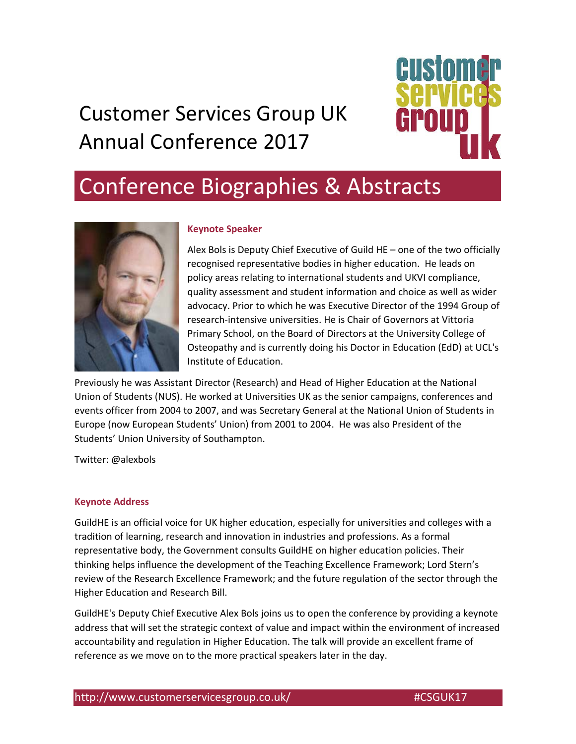# Customer Services Group UK Annual Conference 2017



# Conference Biographies & Abstracts



#### **Keynote Speaker**

Alex Bols is Deputy Chief Executive of Guild HE – one of the two officially recognised representative bodies in higher education. He leads on policy areas relating to international students and UKVI compliance, quality assessment and student information and choice as well as wider advocacy. Prior to which he was Executive Director of the 1994 Group of research‐intensive universities. He is Chair of Governors at Vittoria Primary School, on the Board of Directors at the University College of Osteopathy and is currently doing his Doctor in Education (EdD) at UCL's Institute of Education.

Previously he was Assistant Director (Research) and Head of Higher Education at the National Union of Students (NUS). He worked at Universities UK as the senior campaigns, conferences and events officer from 2004 to 2007, and was Secretary General at the National Union of Students in Europe (now European Students' Union) from 2001 to 2004. He was also President of the Students' Union University of Southampton.

Twitter: @alexbols

#### **Keynote Address**

GuildHE is an official voice for UK higher education, especially for universities and colleges with a tradition of learning, research and innovation in industries and professions. As a formal representative body, the Government consults GuildHE on higher education policies. Their thinking helps influence the development of the Teaching Excellence Framework; Lord Stern's review of the Research Excellence Framework; and the future regulation of the sector through the Higher Education and Research Bill.

GuildHE's Deputy Chief Executive Alex Bols joins us to open the conference by providing a keynote address that will set the strategic context of value and impact within the environment of increased accountability and regulation in Higher Education. The talk will provide an excellent frame of reference as we move on to the more practical speakers later in the day.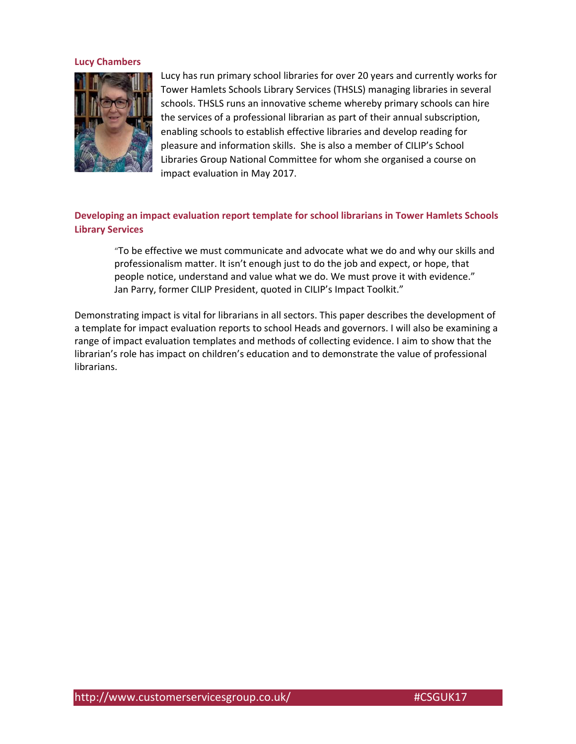#### **Lucy Chambers**



Lucy has run primary school libraries for over 20 years and currently works for Tower Hamlets Schools Library Services (THSLS) managing libraries in several schools. THSLS runs an innovative scheme whereby primary schools can hire the services of a professional librarian as part of their annual subscription, enabling schools to establish effective libraries and develop reading for pleasure and information skills. She is also a member of CILIP's School Libraries Group National Committee for whom she organised a course on impact evaluation in May 2017.

### **Developing an impact evaluation report template for school librarians in Tower Hamlets Schools Library Services**

"To be effective we must communicate and advocate what we do and why our skills and professionalism matter. It isn't enough just to do the job and expect, or hope, that people notice, understand and value what we do. We must prove it with evidence." Jan Parry, former CILIP President, quoted in CILIP's Impact Toolkit."

Demonstrating impact is vital for librarians in all sectors. This paper describes the development of a template for impact evaluation reports to school Heads and governors. I will also be examining a range of impact evaluation templates and methods of collecting evidence. I aim to show that the librarian's role has impact on children's education and to demonstrate the value of professional librarians.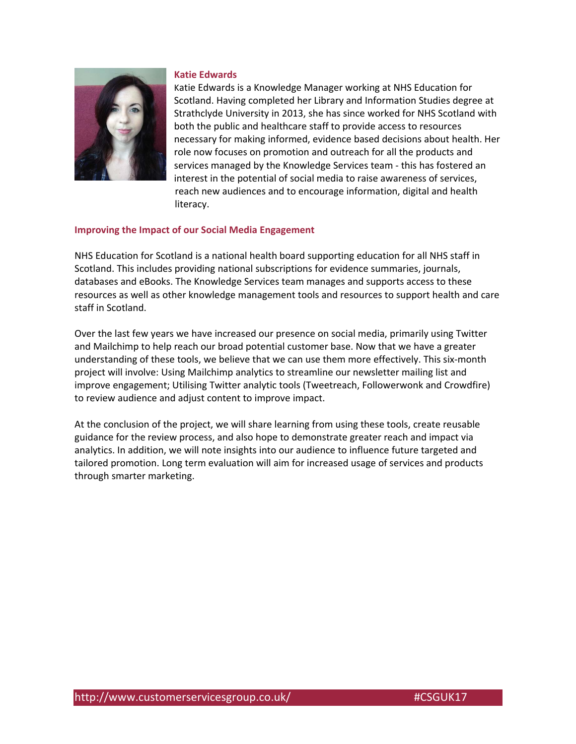

#### **Katie Edwards**

Katie Edwards is a Knowledge Manager working at NHS Education for Scotland. Having completed her Library and Information Studies degree at Strathclyde University in 2013, she has since worked for NHS Scotland with both the public and healthcare staff to provide access to resources necessary for making informed, evidence based decisions about health. Her role now focuses on promotion and outreach for all the products and services managed by the Knowledge Services team ‐ this has fostered an interest in the potential of social media to raise awareness of services, reach new audiences and to encourage information, digital and health literacy.

#### **Improving the Impact of our Social Media Engagement**

NHS Education for Scotland is a national health board supporting education for all NHS staff in Scotland. This includes providing national subscriptions for evidence summaries, journals, databases and eBooks. The Knowledge Services team manages and supports access to these resources as well as other knowledge management tools and resources to support health and care staff in Scotland.

Over the last few years we have increased our presence on social media, primarily using Twitter and Mailchimp to help reach our broad potential customer base. Now that we have a greater understanding of these tools, we believe that we can use them more effectively. This six‐month project will involve: Using Mailchimp analytics to streamline our newsletter mailing list and improve engagement; Utilising Twitter analytic tools (Tweetreach, Followerwonk and Crowdfire) to review audience and adjust content to improve impact.

At the conclusion of the project, we will share learning from using these tools, create reusable guidance for the review process, and also hope to demonstrate greater reach and impact via analytics. In addition, we will note insights into our audience to influence future targeted and tailored promotion. Long term evaluation will aim for increased usage of services and products through smarter marketing.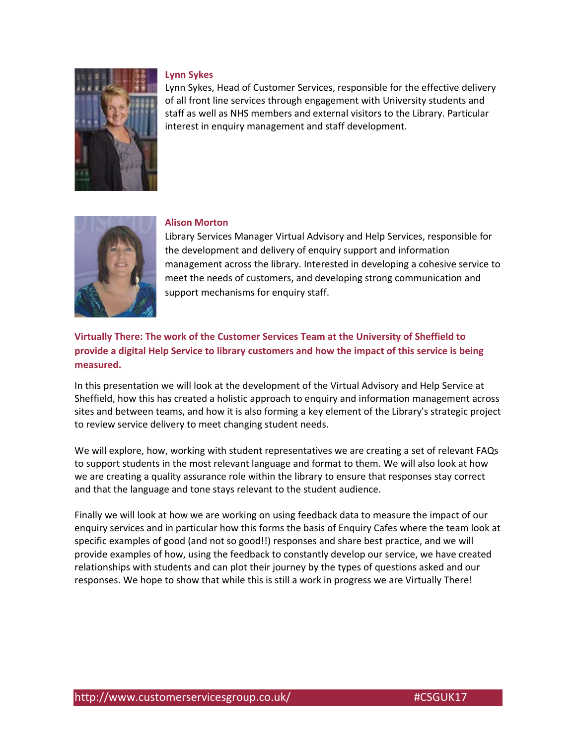

#### **Lynn Sykes**

Lynn Sykes, Head of Customer Services, responsible for the effective delivery of all front line services through engagement with University students and staff as well as NHS members and external visitors to the Library. Particular interest in enquiry management and staff development.



#### **Alison Morton**

Library Services Manager Virtual Advisory and Help Services, responsible for the development and delivery of enquiry support and information management across the library. Interested in developing a cohesive service to meet the needs of customers, and developing strong communication and support mechanisms for enquiry staff.

## **Virtually There: The work of the Customer Services Team at the University of Sheffield to provide a digital Help Service to library customers and how the impact of this service is being measured.**

In this presentation we will look at the development of the Virtual Advisory and Help Service at Sheffield, how this has created a holistic approach to enquiry and information management across sites and between teams, and how it is also forming a key element of the Library's strategic project to review service delivery to meet changing student needs.

We will explore, how, working with student representatives we are creating a set of relevant FAQs to support students in the most relevant language and format to them. We will also look at how we are creating a quality assurance role within the library to ensure that responses stay correct and that the language and tone stays relevant to the student audience.

Finally we will look at how we are working on using feedback data to measure the impact of our enquiry services and in particular how this forms the basis of Enquiry Cafes where the team look at specific examples of good (and not so good!!) responses and share best practice, and we will provide examples of how, using the feedback to constantly develop our service, we have created relationships with students and can plot their journey by the types of questions asked and our responses. We hope to show that while this is still a work in progress we are Virtually There!